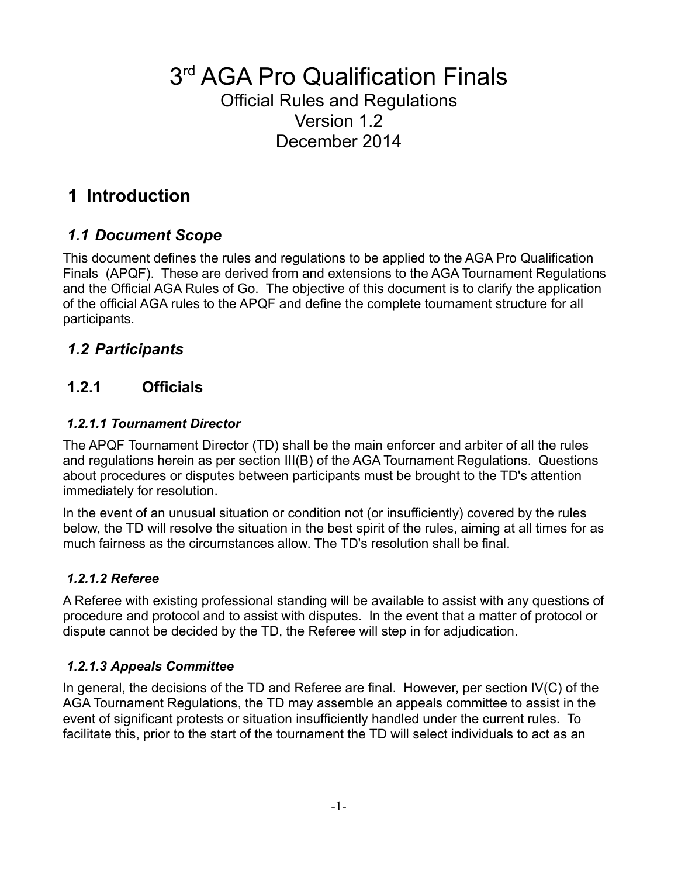# 3<sup>rd</sup> AGA Pro Qualification Finals

#### Official Rules and Regulations Version 1.2 December 2014

# **1 Introduction**

## *1.1 Document Scope*

This document defines the rules and regulations to be applied to the AGA Pro Qualification Finals (APQF). These are derived from and extensions to the AGA Tournament Regulations and the Official AGA Rules of Go. The objective of this document is to clarify the application of the official AGA rules to the APQF and define the complete tournament structure for all participants.

## *1.2 Participants*

## **1.2.1 Officials**

#### *1.2.1.1 Tournament Director*

The APQF Tournament Director (TD) shall be the main enforcer and arbiter of all the rules and regulations herein as per section III(B) of the AGA Tournament Regulations. Questions about procedures or disputes between participants must be brought to the TD's attention immediately for resolution.

In the event of an unusual situation or condition not (or insufficiently) covered by the rules below, the TD will resolve the situation in the best spirit of the rules, aiming at all times for as much fairness as the circumstances allow. The TD's resolution shall be final.

#### *1.2.1.2 Referee*

A Referee with existing professional standing will be available to assist with any questions of procedure and protocol and to assist with disputes. In the event that a matter of protocol or dispute cannot be decided by the TD, the Referee will step in for adjudication.

#### *1.2.1.3 Appeals Committee*

In general, the decisions of the TD and Referee are final. However, per section IV(C) of the AGA Tournament Regulations, the TD may assemble an appeals committee to assist in the event of significant protests or situation insufficiently handled under the current rules. To facilitate this, prior to the start of the tournament the TD will select individuals to act as an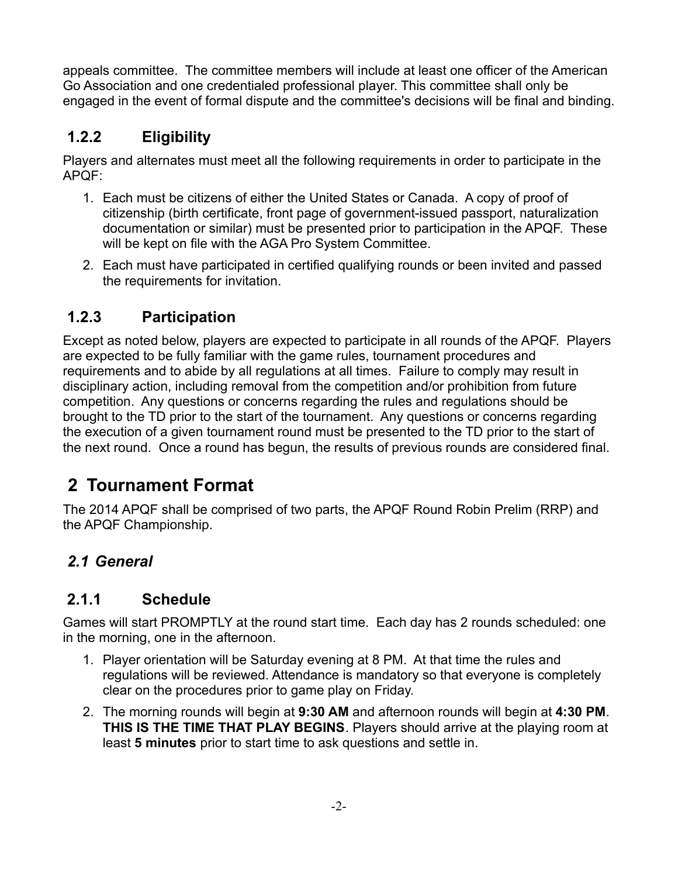appeals committee. The committee members will include at least one officer of the American Go Association and one credentialed professional player. This committee shall only be engaged in the event of formal dispute and the committee's decisions will be final and binding.

# **1.2.2 Eligibility**

Players and alternates must meet all the following requirements in order to participate in the APQF:

- 1. Each must be citizens of either the United States or Canada. A copy of proof of citizenship (birth certificate, front page of government-issued passport, naturalization documentation or similar) must be presented prior to participation in the APQF. These will be kept on file with the AGA Pro System Committee.
- 2. Each must have participated in certified qualifying rounds or been invited and passed the requirements for invitation.

## **1.2.3 Participation**

Except as noted below, players are expected to participate in all rounds of the APQF. Players are expected to be fully familiar with the game rules, tournament procedures and requirements and to abide by all regulations at all times. Failure to comply may result in disciplinary action, including removal from the competition and/or prohibition from future competition. Any questions or concerns regarding the rules and regulations should be brought to the TD prior to the start of the tournament. Any questions or concerns regarding the execution of a given tournament round must be presented to the TD prior to the start of the next round. Once a round has begun, the results of previous rounds are considered final.

# **2 Tournament Format**

The 2014 APQF shall be comprised of two parts, the APQF Round Robin Prelim (RRP) and the APQF Championship.

# *2.1 General*

#### **2.1.1 Schedule**

Games will start PROMPTLY at the round start time. Each day has 2 rounds scheduled: one in the morning, one in the afternoon.

- 1. Player orientation will be Saturday evening at 8 PM. At that time the rules and regulations will be reviewed. Attendance is mandatory so that everyone is completely clear on the procedures prior to game play on Friday.
- 2. The morning rounds will begin at **9:30 AM** and afternoon rounds will begin at **4:30 PM**. **THIS IS THE TIME THAT PLAY BEGINS**. Players should arrive at the playing room at least **5 minutes** prior to start time to ask questions and settle in.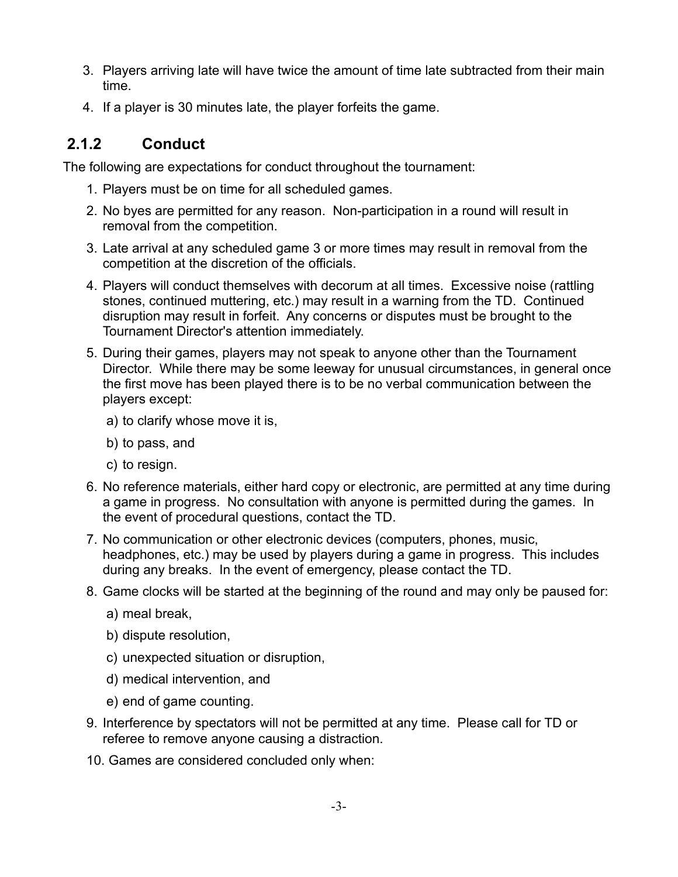- 3. Players arriving late will have twice the amount of time late subtracted from their main time.
- 4. If a player is 30 minutes late, the player forfeits the game.

# **2.1.2 Conduct**

The following are expectations for conduct throughout the tournament:

- 1. Players must be on time for all scheduled games.
- 2. No byes are permitted for any reason. Non-participation in a round will result in removal from the competition.
- 3. Late arrival at any scheduled game 3 or more times may result in removal from the competition at the discretion of the officials.
- 4. Players will conduct themselves with decorum at all times. Excessive noise (rattling stones, continued muttering, etc.) may result in a warning from the TD. Continued disruption may result in forfeit. Any concerns or disputes must be brought to the Tournament Director's attention immediately.
- 5. During their games, players may not speak to anyone other than the Tournament Director. While there may be some leeway for unusual circumstances, in general once the first move has been played there is to be no verbal communication between the players except:
	- a) to clarify whose move it is,
	- b) to pass, and
	- c) to resign.
- 6. No reference materials, either hard copy or electronic, are permitted at any time during a game in progress. No consultation with anyone is permitted during the games. In the event of procedural questions, contact the TD.
- 7. No communication or other electronic devices (computers, phones, music, headphones, etc.) may be used by players during a game in progress. This includes during any breaks. In the event of emergency, please contact the TD.
- 8. Game clocks will be started at the beginning of the round and may only be paused for:
	- a) meal break,
	- b) dispute resolution,
	- c) unexpected situation or disruption,
	- d) medical intervention, and
	- e) end of game counting.
- 9. Interference by spectators will not be permitted at any time. Please call for TD or referee to remove anyone causing a distraction.
- 10. Games are considered concluded only when: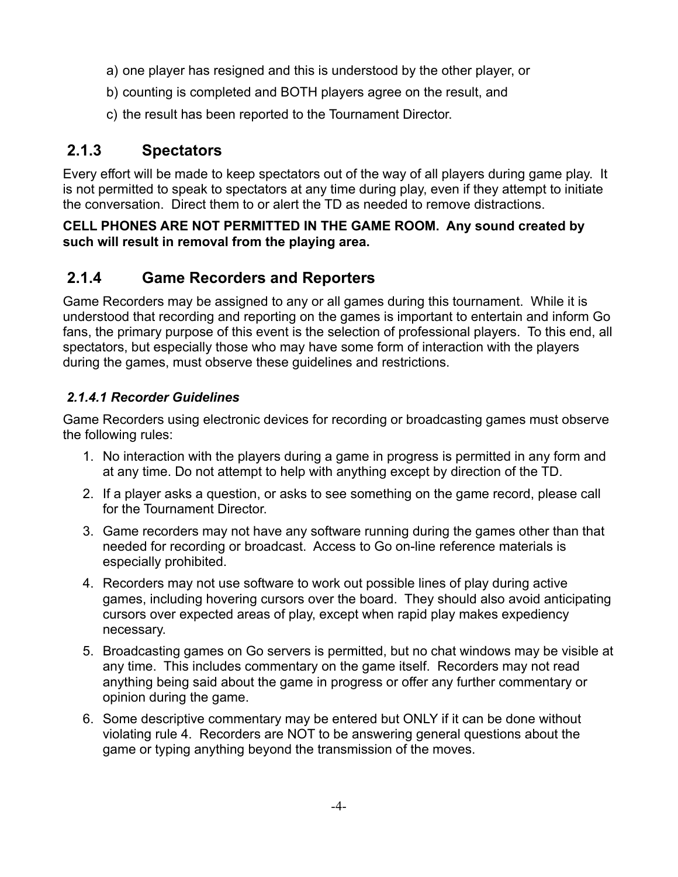- a) one player has resigned and this is understood by the other player, or
- b) counting is completed and BOTH players agree on the result, and
- c) the result has been reported to the Tournament Director.

#### **2.1.3 Spectators**

Every effort will be made to keep spectators out of the way of all players during game play. It is not permitted to speak to spectators at any time during play, even if they attempt to initiate the conversation. Direct them to or alert the TD as needed to remove distractions.

#### **CELL PHONES ARE NOT PERMITTED IN THE GAME ROOM. Any sound created by such will result in removal from the playing area.**

#### **2.1.4 Game Recorders and Reporters**

Game Recorders may be assigned to any or all games during this tournament. While it is understood that recording and reporting on the games is important to entertain and inform Go fans, the primary purpose of this event is the selection of professional players. To this end, all spectators, but especially those who may have some form of interaction with the players during the games, must observe these guidelines and restrictions.

#### *2.1.4.1 Recorder Guidelines*

Game Recorders using electronic devices for recording or broadcasting games must observe the following rules:

- 1. No interaction with the players during a game in progress is permitted in any form and at any time. Do not attempt to help with anything except by direction of the TD.
- 2. If a player asks a question, or asks to see something on the game record, please call for the Tournament Director.
- 3. Game recorders may not have any software running during the games other than that needed for recording or broadcast. Access to Go on-line reference materials is especially prohibited.
- 4. Recorders may not use software to work out possible lines of play during active games, including hovering cursors over the board. They should also avoid anticipating cursors over expected areas of play, except when rapid play makes expediency necessary.
- 5. Broadcasting games on Go servers is permitted, but no chat windows may be visible at any time. This includes commentary on the game itself. Recorders may not read anything being said about the game in progress or offer any further commentary or opinion during the game.
- 6. Some descriptive commentary may be entered but ONLY if it can be done without violating rule 4. Recorders are NOT to be answering general questions about the game or typing anything beyond the transmission of the moves.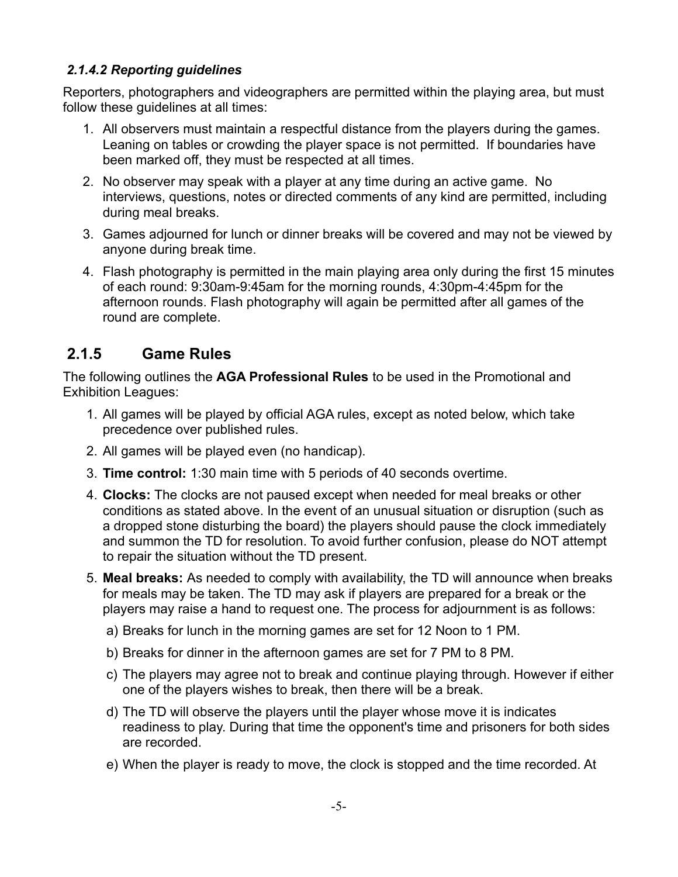#### *2.1.4.2 Reporting guidelines*

Reporters, photographers and videographers are permitted within the playing area, but must follow these guidelines at all times:

- 1. All observers must maintain a respectful distance from the players during the games. Leaning on tables or crowding the player space is not permitted. If boundaries have been marked off, they must be respected at all times.
- 2. No observer may speak with a player at any time during an active game. No interviews, questions, notes or directed comments of any kind are permitted, including during meal breaks.
- 3. Games adjourned for lunch or dinner breaks will be covered and may not be viewed by anyone during break time.
- 4. Flash photography is permitted in the main playing area only during the first 15 minutes of each round: 9:30am-9:45am for the morning rounds, 4:30pm-4:45pm for the afternoon rounds. Flash photography will again be permitted after all games of the round are complete.

#### **2.1.5 Game Rules**

The following outlines the **AGA Professional Rules** to be used in the Promotional and Exhibition Leagues:

- 1. All games will be played by official AGA rules, except as noted below, which take precedence over published rules.
- 2. All games will be played even (no handicap).
- 3. **Time control:** 1:30 main time with 5 periods of 40 seconds overtime.
- 4. **Clocks:** The clocks are not paused except when needed for meal breaks or other conditions as stated above. In the event of an unusual situation or disruption (such as a dropped stone disturbing the board) the players should pause the clock immediately and summon the TD for resolution. To avoid further confusion, please do NOT attempt to repair the situation without the TD present.
- 5. **Meal breaks:** As needed to comply with availability, the TD will announce when breaks for meals may be taken. The TD may ask if players are prepared for a break or the players may raise a hand to request one. The process for adjournment is as follows:
	- a) Breaks for lunch in the morning games are set for 12 Noon to 1 PM.
	- b) Breaks for dinner in the afternoon games are set for 7 PM to 8 PM.
	- c) The players may agree not to break and continue playing through. However if either one of the players wishes to break, then there will be a break.
	- d) The TD will observe the players until the player whose move it is indicates readiness to play. During that time the opponent's time and prisoners for both sides are recorded.
	- e) When the player is ready to move, the clock is stopped and the time recorded. At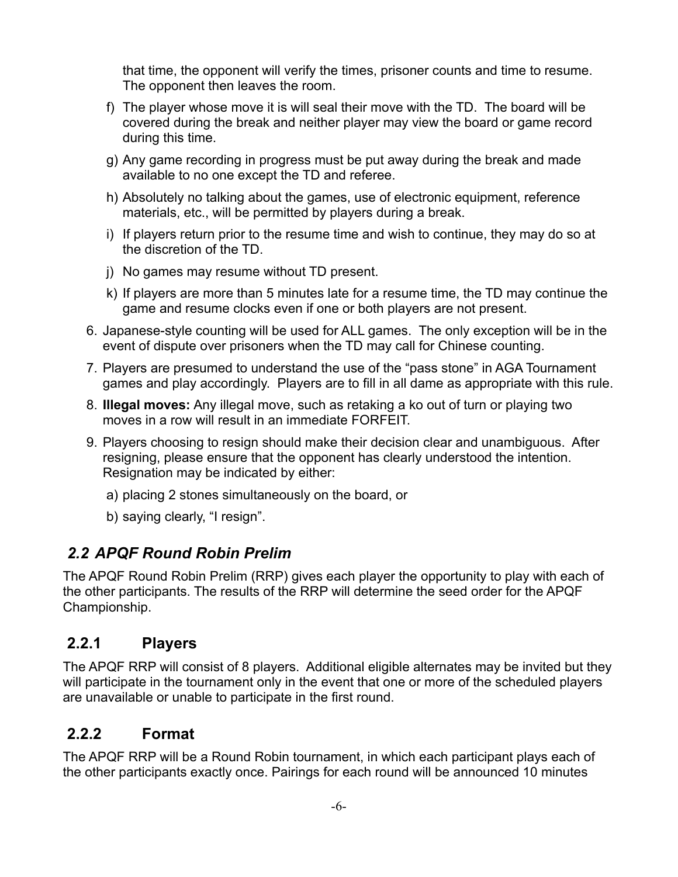that time, the opponent will verify the times, prisoner counts and time to resume. The opponent then leaves the room.

- f) The player whose move it is will seal their move with the TD. The board will be covered during the break and neither player may view the board or game record during this time.
- g) Any game recording in progress must be put away during the break and made available to no one except the TD and referee.
- h) Absolutely no talking about the games, use of electronic equipment, reference materials, etc., will be permitted by players during a break.
- i) If players return prior to the resume time and wish to continue, they may do so at the discretion of the TD.
- j) No games may resume without TD present.
- k) If players are more than 5 minutes late for a resume time, the TD may continue the game and resume clocks even if one or both players are not present.
- 6. Japanese-style counting will be used for ALL games. The only exception will be in the event of dispute over prisoners when the TD may call for Chinese counting.
- 7. Players are presumed to understand the use of the "pass stone" in AGA Tournament games and play accordingly. Players are to fill in all dame as appropriate with this rule.
- 8. **Illegal moves:** Any illegal move, such as retaking a ko out of turn or playing two moves in a row will result in an immediate FORFEIT.
- 9. Players choosing to resign should make their decision clear and unambiguous. After resigning, please ensure that the opponent has clearly understood the intention. Resignation may be indicated by either:
	- a) placing 2 stones simultaneously on the board, or
	- b) saying clearly, "I resign".

#### *2.2 APQF Round Robin Prelim*

The APQF Round Robin Prelim (RRP) gives each player the opportunity to play with each of the other participants. The results of the RRP will determine the seed order for the APQF Championship.

#### **2.2.1 Players**

The APQF RRP will consist of 8 players. Additional eligible alternates may be invited but they will participate in the tournament only in the event that one or more of the scheduled players are unavailable or unable to participate in the first round.

#### **2.2.2 Format**

The APQF RRP will be a Round Robin tournament, in which each participant plays each of the other participants exactly once. Pairings for each round will be announced 10 minutes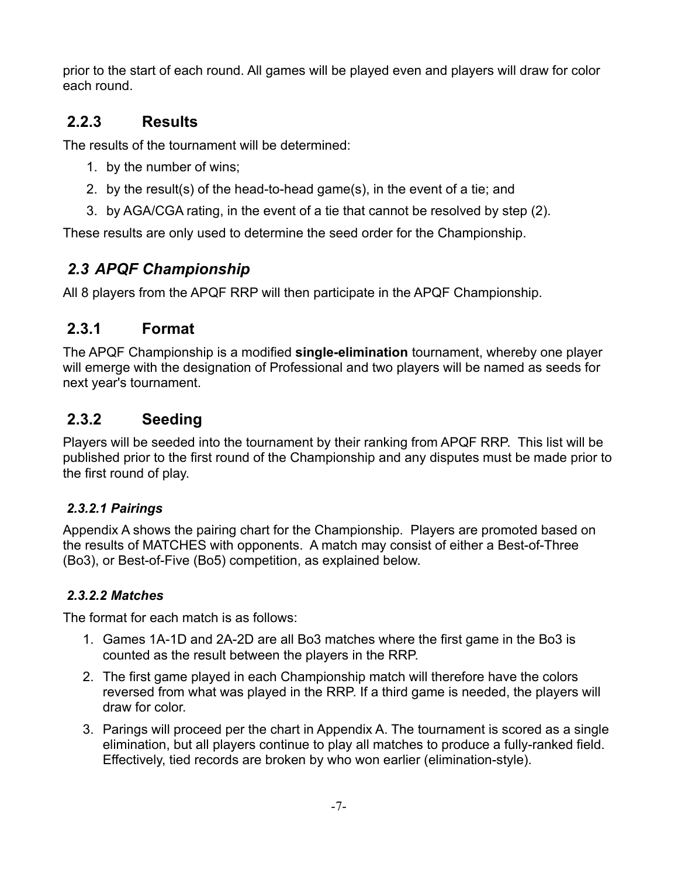prior to the start of each round. All games will be played even and players will draw for color each round.

#### **2.2.3 Results**

The results of the tournament will be determined:

- 1. by the number of wins;
- 2. by the result(s) of the head-to-head game(s), in the event of a tie; and
- 3. by AGA/CGA rating, in the event of a tie that cannot be resolved by step (2).

These results are only used to determine the seed order for the Championship.

# *2.3 APQF Championship*

All 8 players from the APQF RRP will then participate in the APQF Championship.

#### **2.3.1 Format**

The APQF Championship is a modified **single-elimination** tournament, whereby one player will emerge with the designation of Professional and two players will be named as seeds for next year's tournament.

#### **2.3.2 Seeding**

Players will be seeded into the tournament by their ranking from APQF RRP. This list will be published prior to the first round of the Championship and any disputes must be made prior to the first round of play.

#### *2.3.2.1 Pairings*

Appendix A shows the pairing chart for the Championship. Players are promoted based on the results of MATCHES with opponents. A match may consist of either a Best-of-Three (Bo3), or Best-of-Five (Bo5) competition, as explained below.

#### *2.3.2.2 Matches*

The format for each match is as follows:

- 1. Games 1A-1D and 2A-2D are all Bo3 matches where the first game in the Bo3 is counted as the result between the players in the RRP.
- 2. The first game played in each Championship match will therefore have the colors reversed from what was played in the RRP. If a third game is needed, the players will draw for color.
- 3. Parings will proceed per the chart in Appendix A. The tournament is scored as a single elimination, but all players continue to play all matches to produce a fully-ranked field. Effectively, tied records are broken by who won earlier (elimination-style).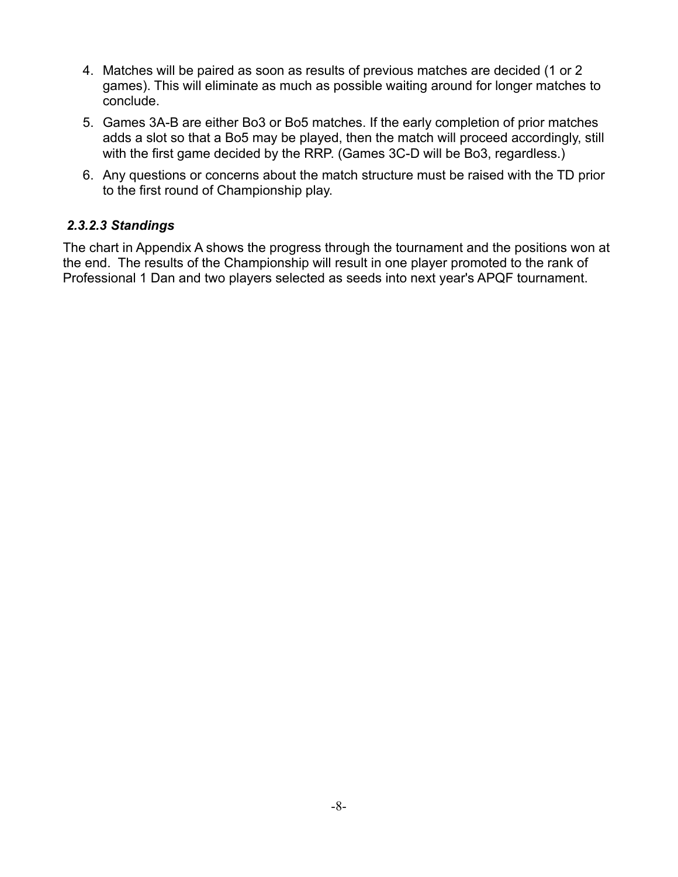- 4. Matches will be paired as soon as results of previous matches are decided (1 or 2 games). This will eliminate as much as possible waiting around for longer matches to conclude.
- 5. Games 3A-B are either Bo3 or Bo5 matches. If the early completion of prior matches adds a slot so that a Bo5 may be played, then the match will proceed accordingly, still with the first game decided by the RRP. (Games 3C-D will be Bo3, regardless.)
- 6. Any questions or concerns about the match structure must be raised with the TD prior to the first round of Championship play.

#### *2.3.2.3 Standings*

The chart in Appendix A shows the progress through the tournament and the positions won at the end. The results of the Championship will result in one player promoted to the rank of Professional 1 Dan and two players selected as seeds into next year's APQF tournament.